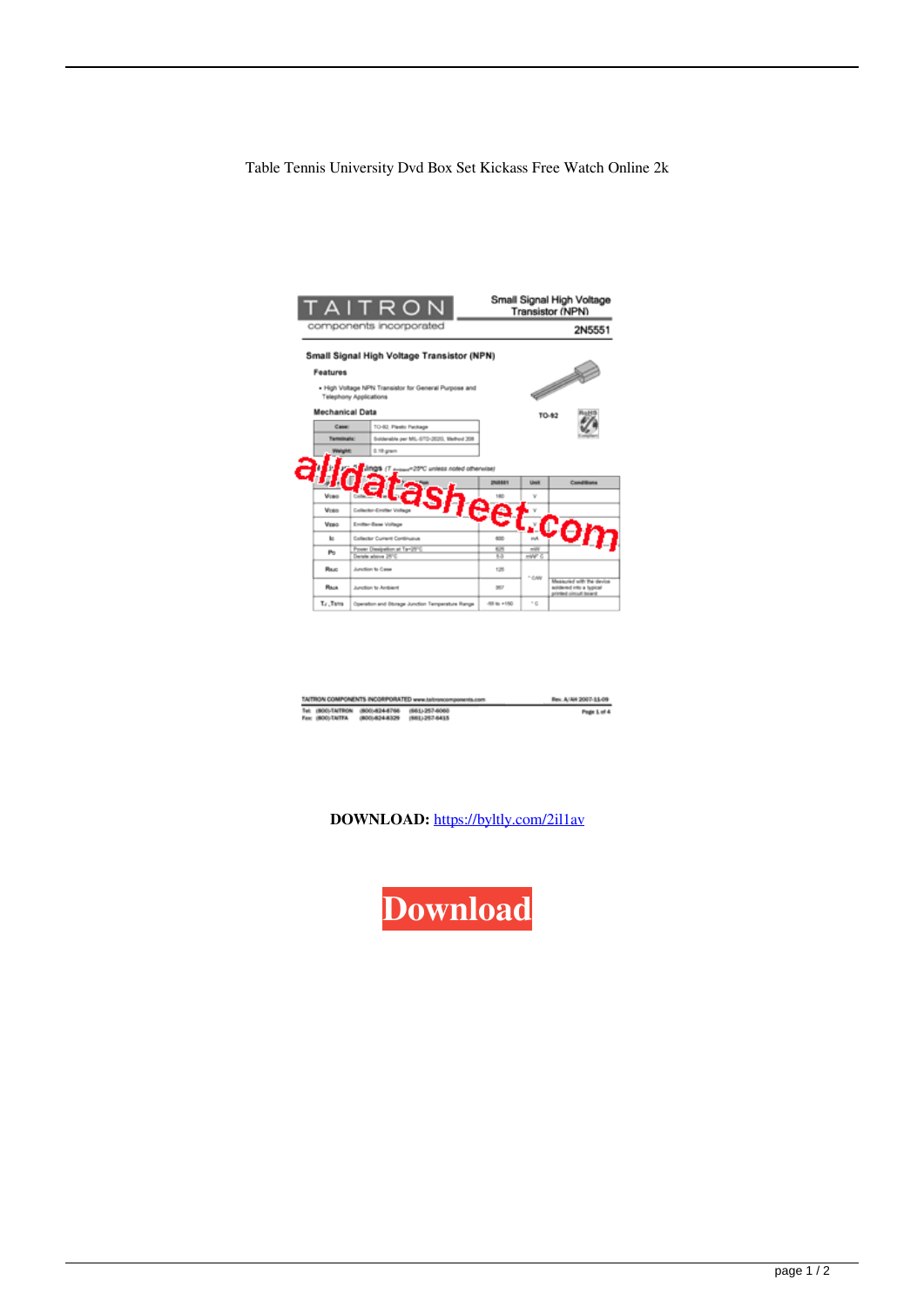Table Tennis University Dvd Box Set Kickass Free Watch Online 2k



| TAITRON COMPONENTS INCORPORATED www.taitroncomponents.com |                   |                                                  |                 | Rev. A/AH 2007-51-09 |
|-----------------------------------------------------------|-------------------|--------------------------------------------------|-----------------|----------------------|
|                                                           |                   | Tel: (800)-TAITRON (800)-824-8766 (861)-257-6060 |                 | Page 1 of 4          |
|                                                           | Fax: (BOO)-TA/TFA | (800) 824-8329                                   | (661) 1207-6415 |                      |

**DOWNLOAD:** <https://byltly.com/2il1av>